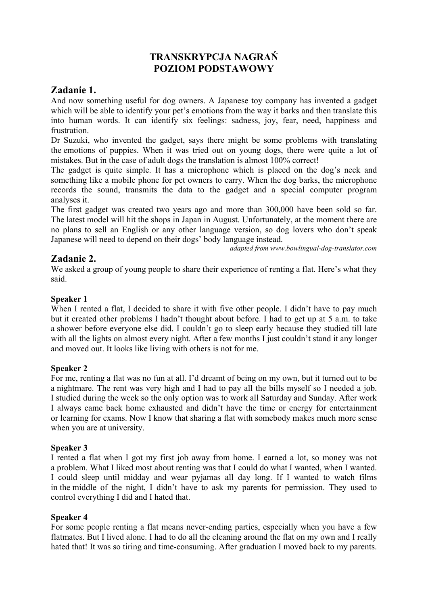# **TRANSKRYPCJA NAGRAŃ POZIOM PODSTAWOWY**

## **Zadanie 1.**

And now something useful for dog owners. A Japanese toy company has invented a gadget which will be able to identify your pet's emotions from the way it barks and then translate this into human words. It can identify six feelings: sadness, joy, fear, need, happiness and frustration.

Dr Suzuki, who invented the gadget, says there might be some problems with translating the emotions of puppies. When it was tried out on young dogs, there were quite a lot of mistakes. But in the case of adult dogs the translation is almost 100% correct!

The gadget is quite simple. It has a microphone which is placed on the dog's neck and something like a mobile phone for pet owners to carry. When the dog barks, the microphone records the sound, transmits the data to the gadget and a special computer program analyses it.

The first gadget was created two years ago and more than 300,000 have been sold so far. The latest model will hit the shops in Japan in August. Unfortunately, at the moment there are no plans to sell an English or any other language version, so dog lovers who don't speak Japanese will need to depend on their dogs' body language instead.

*adapted from www.bowlingual-dog-translator.com* 

# **Zadanie 2.**

We asked a group of young people to share their experience of renting a flat. Here's what they said.

## **Speaker 1**

When I rented a flat, I decided to share it with five other people. I didn't have to pay much but it created other problems I hadn't thought about before. I had to get up at 5 a.m. to take a shower before everyone else did. I couldn't go to sleep early because they studied till late with all the lights on almost every night. After a few months I just couldn't stand it any longer and moved out. It looks like living with others is not for me.

#### **Speaker 2**

For me, renting a flat was no fun at all. I'd dreamt of being on my own, but it turned out to be a nightmare. The rent was very high and I had to pay all the bills myself so I needed a job. I studied during the week so the only option was to work all Saturday and Sunday. After work I always came back home exhausted and didn't have the time or energy for entertainment or learning for exams. Now I know that sharing a flat with somebody makes much more sense when you are at university.

## **Speaker 3**

I rented a flat when I got my first job away from home. I earned a lot, so money was not a problem. What I liked most about renting was that I could do what I wanted, when I wanted. I could sleep until midday and wear pyjamas all day long. If I wanted to watch films in the middle of the night, I didn't have to ask my parents for permission. They used to control everything I did and I hated that.

#### **Speaker 4**

For some people renting a flat means never-ending parties, especially when you have a few flatmates. But I lived alone. I had to do all the cleaning around the flat on my own and I really hated that! It was so tiring and time-consuming. After graduation I moved back to my parents.